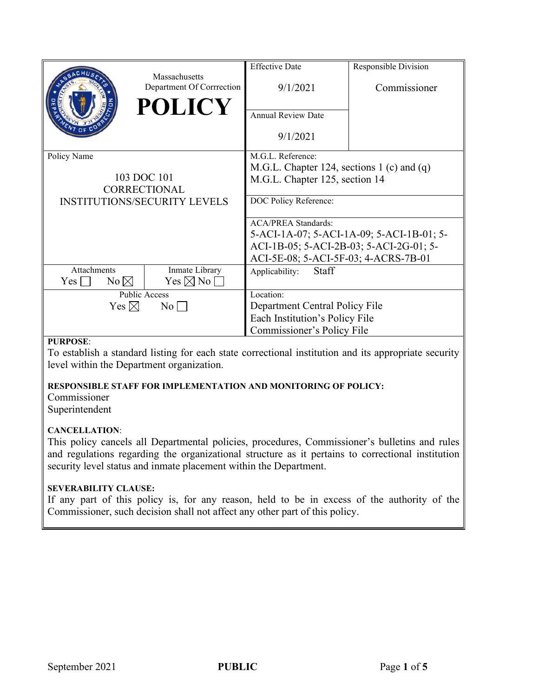|                                     |                                                             | <b>Effective Date</b>                        | Responsible Division |
|-------------------------------------|-------------------------------------------------------------|----------------------------------------------|----------------------|
|                                     | Massachusetts<br>Department Of Corrrection<br><b>POLICY</b> | 9/1/2021                                     | Commissioner         |
|                                     |                                                             | <b>Annual Review Date</b>                    |                      |
|                                     |                                                             | 9/1/2021                                     |                      |
| Policy Name                         |                                                             | M.G.L. Reference:                            |                      |
|                                     |                                                             | M.G.L. Chapter 124, sections 1 (c) and $(q)$ |                      |
| 103 DOC 101                         |                                                             | M.G.L. Chapter 125, section 14               |                      |
|                                     | CORRECTIONAL                                                |                                              |                      |
| <b>INSTITUTIONS/SECURITY LEVELS</b> |                                                             | DOC Policy Reference:                        |                      |
|                                     |                                                             | <b>ACA/PREA Standards:</b>                   |                      |
|                                     |                                                             | 5-ACI-1A-07; 5-ACI-1A-09; 5-ACI-1B-01; 5-    |                      |
|                                     |                                                             | ACI-1B-05; 5-ACI-2B-03; 5-ACI-2G-01; 5-      |                      |
|                                     |                                                             | ACI-5E-08; 5-ACI-5F-03; 4-ACRS-7B-01         |                      |
| Attachments<br>Inmate Library       |                                                             | Staff<br>Applicability:                      |                      |
| $Yes \mid$<br>$No \boxtimes$        | $Yes \boxtimes No$                                          |                                              |                      |
| Public Access                       |                                                             | Location:                                    |                      |
| Yes $\boxtimes$<br>$\rm No$         |                                                             | Department Central Policy File               |                      |
|                                     |                                                             | Each Institution's Policy File               |                      |
|                                     |                                                             | Commissioner's Policy File                   |                      |

#### **PURPOSE**:

To establish a standard listing for each state correctional institution and its appropriate security level within the Department organization.

#### **RESPONSIBLE STAFF FOR IMPLEMENTATION AND MONITORING OF POLICY:**

Commissioner Superintendent

## **CANCELLATION**:

This policy cancels all Departmental policies, procedures, Commissioner's bulletins and rules and regulations regarding the organizational structure as it pertains to correctional institution security level status and inmate placement within the Department.

#### **SEVERABILITY CLAUSE:**

If any part of this policy is, for any reason, held to be in excess of the authority of the Commissioner, such decision shall not affect any other part of this policy.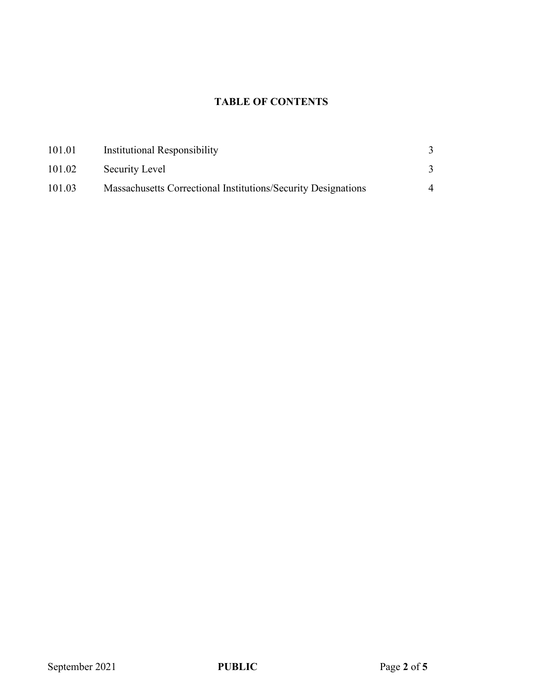# **TABLE OF CONTENTS**

| 101.01 | Institutional Responsibility                                  |  |
|--------|---------------------------------------------------------------|--|
| 101.02 | Security Level                                                |  |
| 101.03 | Massachusetts Correctional Institutions/Security Designations |  |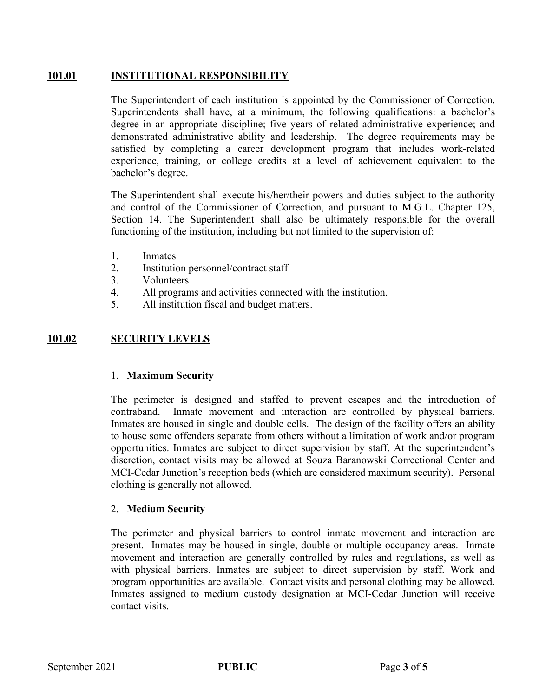# **101.01 INSTITUTIONAL RESPONSIBILITY**

The Superintendent of each institution is appointed by the Commissioner of Correction. Superintendents shall have, at a minimum, the following qualifications: a bachelor's degree in an appropriate discipline; five years of related administrative experience; and demonstrated administrative ability and leadership. The degree requirements may be satisfied by completing a career development program that includes work-related experience, training, or college credits at a level of achievement equivalent to the bachelor's degree.

The Superintendent shall execute his/her/their powers and duties subject to the authority and control of the Commissioner of Correction, and pursuant to M.G.L. Chapter 125, Section 14. The Superintendent shall also be ultimately responsible for the overall functioning of the institution, including but not limited to the supervision of:

- 1. Inmates
- 2. Institution personnel/contract staff
- 3. Volunteers
- 4. All programs and activities connected with the institution.
- 5. All institution fiscal and budget matters.

# **101.02 SECURITY LEVELS**

## 1. **Maximum Security**

The perimeter is designed and staffed to prevent escapes and the introduction of contraband. Inmate movement and interaction are controlled by physical barriers. Inmates are housed in single and double cells. The design of the facility offers an ability to house some offenders separate from others without a limitation of work and/or program opportunities. Inmates are subject to direct supervision by staff. At the superintendent's discretion, contact visits may be allowed at Souza Baranowski Correctional Center and MCI-Cedar Junction's reception beds (which are considered maximum security). Personal clothing is generally not allowed.

## 2. **Medium Security**

The perimeter and physical barriers to control inmate movement and interaction are present. Inmates may be housed in single, double or multiple occupancy areas. Inmate movement and interaction are generally controlled by rules and regulations, as well as with physical barriers. Inmates are subject to direct supervision by staff. Work and program opportunities are available. Contact visits and personal clothing may be allowed. Inmates assigned to medium custody designation at MCI-Cedar Junction will receive contact visits.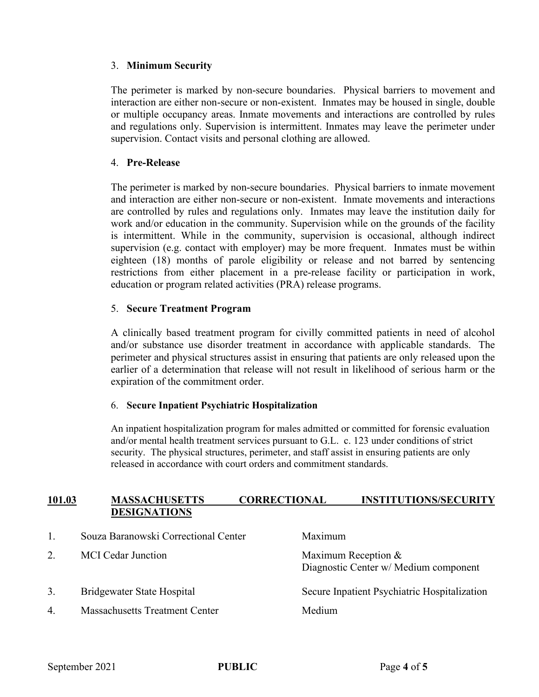# 3. **Minimum Security**

The perimeter is marked by non-secure boundaries. Physical barriers to movement and interaction are either non-secure or non-existent. Inmates may be housed in single, double or multiple occupancy areas. Inmate movements and interactions are controlled by rules and regulations only. Supervision is intermittent. Inmates may leave the perimeter under supervision. Contact visits and personal clothing are allowed.

# 4. **Pre-Release**

The perimeter is marked by non-secure boundaries. Physical barriers to inmate movement and interaction are either non-secure or non-existent. Inmate movements and interactions are controlled by rules and regulations only. Inmates may leave the institution daily for work and/or education in the community. Supervision while on the grounds of the facility is intermittent. While in the community, supervision is occasional, although indirect supervision (e.g. contact with employer) may be more frequent. Inmates must be within eighteen (18) months of parole eligibility or release and not barred by sentencing restrictions from either placement in a pre-release facility or participation in work, education or program related activities (PRA) release programs.

# 5. **Secure Treatment Program**

A clinically based treatment program for civilly committed patients in need of alcohol and/or substance use disorder treatment in accordance with applicable standards. The perimeter and physical structures assist in ensuring that patients are only released upon the earlier of a determination that release will not result in likelihood of serious harm or the expiration of the commitment order.

## 6. **Secure Inpatient Psychiatric Hospitalization**

An inpatient hospitalization program for males admitted or committed for forensic evaluation and/or mental health treatment services pursuant to G.L. c. 123 under conditions of strict security. The physical structures, perimeter, and staff assist in ensuring patients are only released in accordance with court orders and commitment standards.

# **101.03 MASSACHUSETTS CORRECTIONAL INSTITUTIONS/SECURITY DESIGNATIONS**

| 1. | Souza Baranowski Correctional Center  | Maximum                                                        |
|----|---------------------------------------|----------------------------------------------------------------|
| 2. | <b>MCI</b> Cedar Junction             | Maximum Reception $&$<br>Diagnostic Center w/ Medium component |
| 3. | Bridgewater State Hospital            | Secure Inpatient Psychiatric Hospitalization                   |
| 4. | <b>Massachusetts Treatment Center</b> | Medium                                                         |